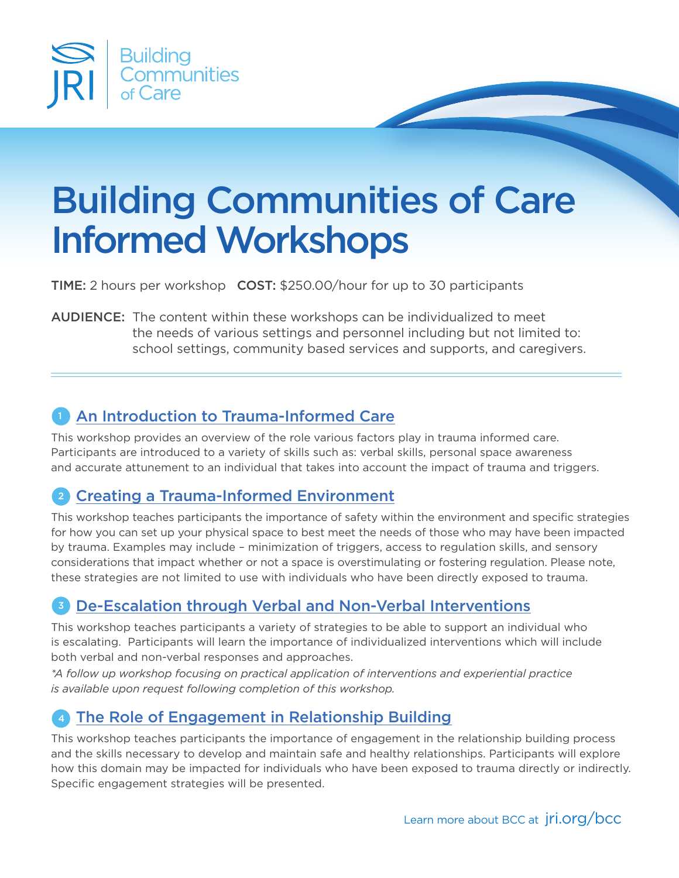

# Building Communities of Care Informed Workshops

TIME: 2 hours per workshop COST: \$250.00/hour for up to 30 participants

AUDIENCE: The content within these workshops can be individualized to meet the needs of various settings and personnel including but not limited to: school settings, community based services and supports, and caregivers.

### **1** An Introduction to Trauma-Informed Care

This workshop provides an overview of the role various factors play in trauma informed care. Participants are introduced to a variety of skills such as: verbal skills, personal space awareness and accurate attunement to an individual that takes into account the impact of trauma and triggers.

# 2 Creating a Trauma-Informed Environment

This workshop teaches participants the importance of safety within the environment and specific strategies for how you can set up your physical space to best meet the needs of those who may have been impacted by trauma. Examples may include – minimization of triggers, access to regulation skills, and sensory considerations that impact whether or not a space is overstimulating or fostering regulation. Please note, these strategies are not limited to use with individuals who have been directly exposed to trauma.

### De-Escalation through Verbal and Non-Verbal Interventions 3

This workshop teaches participants a variety of strategies to be able to support an individual who is escalating. Participants will learn the importance of individualized interventions which will include both verbal and non-verbal responses and approaches.

*\*A follow up workshop focusing on practical application of interventions and experiential practice is available upon request following completion of this workshop.* 

### 4 The Role of Engagement in Relationship Building

This workshop teaches participants the importance of engagement in the relationship building process and the skills necessary to develop and maintain safe and healthy relationships. Participants will explore how this domain may be impacted for individuals who have been exposed to trauma directly or indirectly. Specific engagement strategies will be presented.